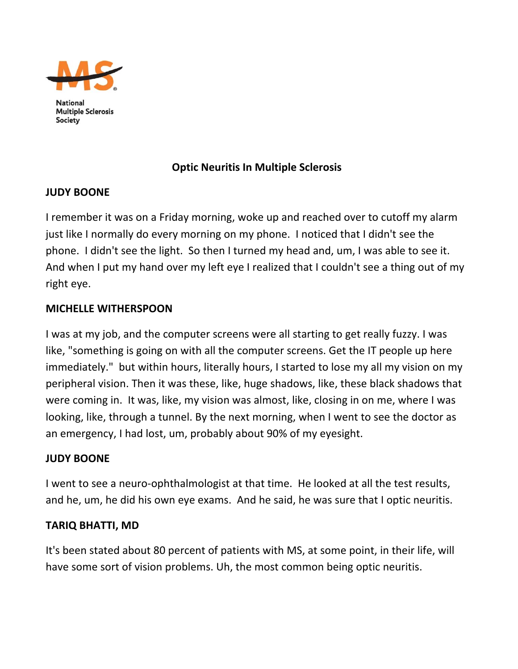

National **Multiple Sclerosis Society** 

### **Optic Neuritis In Multiple Sclerosis**

### **JUDY BOONE**

I remember it was on a Friday morning, woke up and reached over to cutoff my alarm just like I normally do every morning on my phone. I noticed that I didn't see the phone. I didn't see the light. So then I turned my head and, um, I was able to see it. And when I put my hand over my left eye I realized that I couldn't see a thing out of my right eye.

#### **MICHELLE WITHERSPOON**

I was at my job, and the computer screens were all starting to get really fuzzy. I was like, "something is going on with all the computer screens. Get the IT people up here immediately." but within hours, literally hours, I started to lose my all my vision on my peripheral vision. Then it was these, like, huge shadows, like, these black shadows that were coming in. It was, like, my vision was almost, like, closing in on me, where I was looking, like, through a tunnel. By the next morning, when I went to see the doctor as an emergency, I had lost, um, probably about 90% of my eyesight.

#### **JUDY BOONE**

I went to see a neuro‐ophthalmologist at that time. He looked at all the test results, and he, um, he did his own eye exams. And he said, he was sure that I optic neuritis.

### **TARIQ BHATTI, MD**

It's been stated about 80 percent of patients with MS, at some point, in their life, will have some sort of vision problems. Uh, the most common being optic neuritis.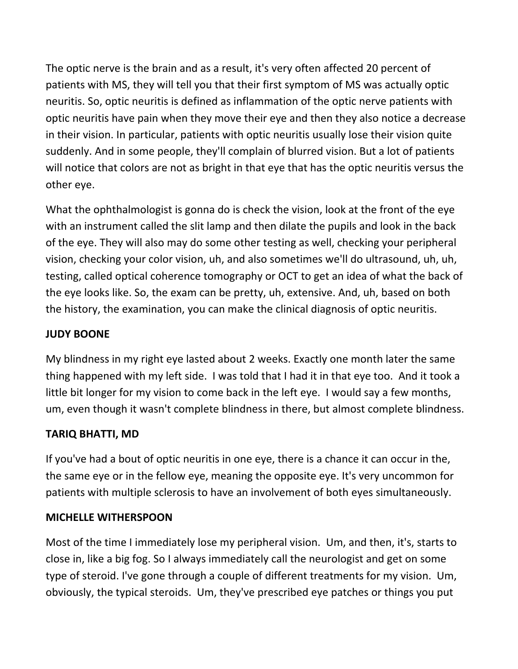The optic nerve is the brain and as a result, it's very often affected 20 percent of patients with MS, they will tell you that their first symptom of MS was actually optic neuritis. So, optic neuritis is defined as inflammation of the optic nerve patients with optic neuritis have pain when they move their eye and then they also notice a decrease in their vision. In particular, patients with optic neuritis usually lose their vision quite suddenly. And in some people, they'll complain of blurred vision. But a lot of patients will notice that colors are not as bright in that eye that has the optic neuritis versus the other eye.

What the ophthalmologist is gonna do is check the vision, look at the front of the eye with an instrument called the slit lamp and then dilate the pupils and look in the back of the eye. They will also may do some other testing as well, checking your peripheral vision, checking your color vision, uh, and also sometimes we'll do ultrasound, uh, uh, testing, called optical coherence tomography or OCT to get an idea of what the back of the eye looks like. So, the exam can be pretty, uh, extensive. And, uh, based on both the history, the examination, you can make the clinical diagnosis of optic neuritis.

## **JUDY BOONE**

My blindness in my right eye lasted about 2 weeks. Exactly one month later the same thing happened with my left side. I was told that I had it in that eye too. And it took a little bit longer for my vision to come back in the left eye. I would say a few months, um, even though it wasn't complete blindness in there, but almost complete blindness.

### **TARIQ BHATTI, MD**

If you've had a bout of optic neuritis in one eye, there is a chance it can occur in the, the same eye or in the fellow eye, meaning the opposite eye. It's very uncommon for patients with multiple sclerosis to have an involvement of both eyes simultaneously.

### **MICHELLE WITHERSPOON**

Most of the time I immediately lose my peripheral vision. Um, and then, it's, starts to close in, like a big fog. So I always immediately call the neurologist and get on some type of steroid. I've gone through a couple of different treatments for my vision. Um, obviously, the typical steroids. Um, they've prescribed eye patches or things you put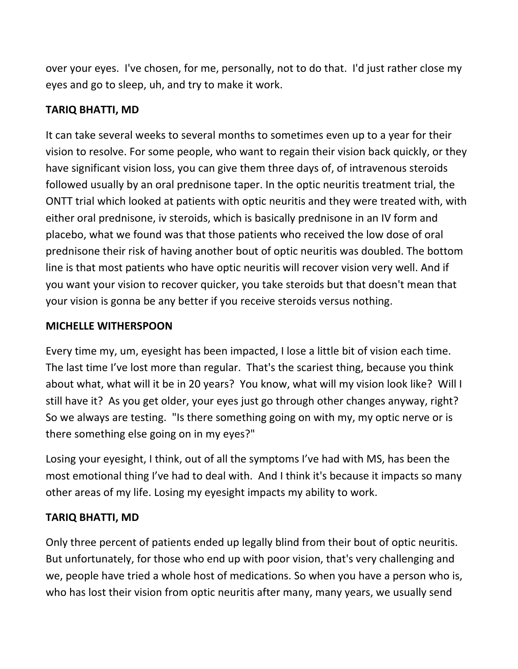over your eyes. I've chosen, for me, personally, not to do that. I'd just rather close my eyes and go to sleep, uh, and try to make it work.

### **TARIQ BHATTI, MD**

It can take several weeks to several months to sometimes even up to a year for their vision to resolve. For some people, who want to regain their vision back quickly, or they have significant vision loss, you can give them three days of, of intravenous steroids followed usually by an oral prednisone taper. In the optic neuritis treatment trial, the ONTT trial which looked at patients with optic neuritis and they were treated with, with either oral prednisone, iv steroids, which is basically prednisone in an IV form and placebo, what we found was that those patients who received the low dose of oral prednisone their risk of having another bout of optic neuritis was doubled. The bottom line is that most patients who have optic neuritis will recover vision very well. And if you want your vision to recover quicker, you take steroids but that doesn't mean that your vision is gonna be any better if you receive steroids versus nothing.

#### **MICHELLE WITHERSPOON**

Every time my, um, eyesight has been impacted, I lose a little bit of vision each time. The last time I've lost more than regular. That's the scariest thing, because you think about what, what will it be in 20 years? You know, what will my vision look like? Will I still have it? As you get older, your eyes just go through other changes anyway, right? So we always are testing. "Is there something going on with my, my optic nerve or is there something else going on in my eyes?"

Losing your eyesight, I think, out of all the symptoms I've had with MS, has been the most emotional thing I've had to deal with. And I think it's because it impacts so many other areas of my life. Losing my eyesight impacts my ability to work.

### **TARIQ BHATTI, MD**

Only three percent of patients ended up legally blind from their bout of optic neuritis. But unfortunately, for those who end up with poor vision, that's very challenging and we, people have tried a whole host of medications. So when you have a person who is, who has lost their vision from optic neuritis after many, many years, we usually send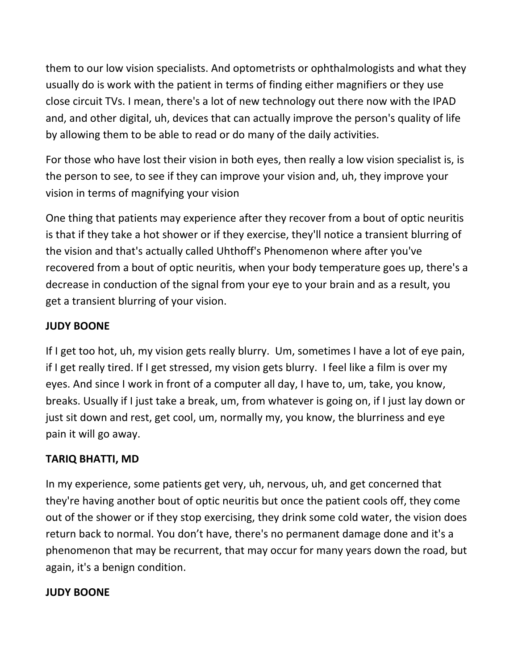them to our low vision specialists. And optometrists or ophthalmologists and what they usually do is work with the patient in terms of finding either magnifiers or they use close circuit TVs. I mean, there's a lot of new technology out there now with the IPAD and, and other digital, uh, devices that can actually improve the person's quality of life by allowing them to be able to read or do many of the daily activities.

For those who have lost their vision in both eyes, then really a low vision specialist is, is the person to see, to see if they can improve your vision and, uh, they improve your vision in terms of magnifying your vision

One thing that patients may experience after they recover from a bout of optic neuritis is that if they take a hot shower or if they exercise, they'll notice a transient blurring of the vision and that's actually called Uhthoff's Phenomenon where after you've recovered from a bout of optic neuritis, when your body temperature goes up, there's a decrease in conduction of the signal from your eye to your brain and as a result, you get a transient blurring of your vision.

### **JUDY BOONE**

If I get too hot, uh, my vision gets really blurry. Um, sometimes I have a lot of eye pain, if I get really tired. If I get stressed, my vision gets blurry. I feel like a film is over my eyes. And since I work in front of a computer all day, I have to, um, take, you know, breaks. Usually if I just take a break, um, from whatever is going on, if I just lay down or just sit down and rest, get cool, um, normally my, you know, the blurriness and eye pain it will go away.

### **TARIQ BHATTI, MD**

In my experience, some patients get very, uh, nervous, uh, and get concerned that they're having another bout of optic neuritis but once the patient cools off, they come out of the shower or if they stop exercising, they drink some cold water, the vision does return back to normal. You don't have, there's no permanent damage done and it's a phenomenon that may be recurrent, that may occur for many years down the road, but again, it's a benign condition.

### **JUDY BOONE**